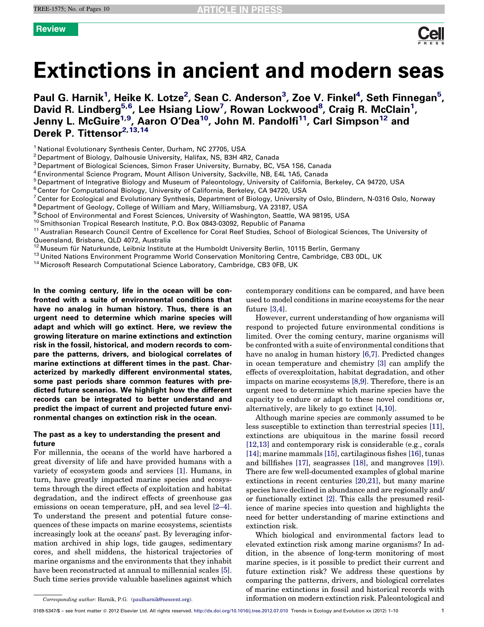# Extinctions in ancient and modern seas

Paul G. Harnik<sup>1</sup>, Heike K. Lotze<sup>2</sup>, Sean C. Anderson<sup>3</sup>, Zoe V. Finkel<sup>4</sup> ,Seth Finnegan<sup>5</sup>, David R. Lindberg<sup>5,6</sup>, Lee Hsiang Liow<sup>7</sup>, Rowan Lockwood<sup>8</sup>, Craig R. McClain<sup>1</sup>, Jenny L. McGuire<sup>1,9</sup>, Aaron O'Dea<sup>10</sup>, John M. Pandolfi<sup>11</sup>, Carl Simpson<sup>12</sup> and Derek P. Tittensor<sup>2,13,14</sup>

- 
- 
- 
- 
- 

<sup>1</sup> National Evolutionary Synthesis Center, Durham, NC 27705, USA<br>
<sup>2</sup> Department of Biology, Dalhousie University, Halifax, NS, B3H 4R2, Canada<br>
<sup>3</sup> Department of Biological Sciences, Simon Fraser University, Burnaby, BC,

- 
- 
- 
- 
- 
- Queensland, Brisbane, QLD 4072, Australia<br><sup>12</sup> Museum für Naturkunde, Leibniz Institute at the Humboldt University Berlin, 10115 Berlin, Germany<br><sup>13</sup> United Nations Environment Programme World Conservation Monitoring Centr
- 

In the coming century, life in the ocean will be confronted with a suite of environmental conditions that have no analog in human history. Thus, there is an urgent need to determine which marine species will adapt and which will go extinct. Here, we review the growing literature on marine extinctions and extinction risk in the fossil, historical, and modern records to compare the patterns, drivers, and biological correlates of marine extinctions at different times in the past. Characterized by markedly different environmental states, some past periods share common features with predicted future scenarios. We highlight how the different records can be integrated to better understand and predict the impact of current and projected future environmental changes on extinction risk in the ocean.

# The past as a key to understanding the present and future

For millennia, the oceans of the world have harbored a great diversity of life and have provided humans with a variety of ecosystem goods and services [\[1\].](#page-7-0) Humans, in turn, have greatly impacted marine species and ecosystems through the direct effects of exploitation and habitat degradation, and the indirect effects of greenhouse gas emissions on ocean temperature, pH, and sea level [\[2–4\]](#page-7-0). To understand the present and potential future consequences of these impacts on marine ecosystems, scientists increasingly look at the oceans' past. By leveraging information archived in ship logs, tide gauges, sedimentary cores, and shell middens, the historical trajectories of marine organisms and the environments that they inhabit have been reconstructed at annual to millennial scales [\[5\]](#page-7-0). Such time series provide valuable baselines against which

contemporary conditions can be compared, and have been used to model conditions in marine ecosystems for the near future [\[3,4\].](#page-7-0)

However, current understanding of how organisms will respond to projected future environmental conditions is limited. Over the coming century, marine organisms will be confronted with a suite of environmental conditions that have no analog in human history [\[6,7\].](#page-7-0) Predicted changes in ocean temperature and chemistry [\[3\]](#page-7-0) can amplify the effects of overexploitation, habitat degradation, and other impacts on marine ecosystems [\[8,9\]](#page-7-0). Therefore, there is an urgent need to determine which marine species have the capacity to endure or adapt to these novel conditions or, alternatively, are likely to go extinct [\[4,10\].](#page-7-0)

Although marine species are commonly assumed to be less susceptible to extinction than terrestrial species [\[11\]](#page-7-0), extinctions are ubiquitous in the marine fossil record [\[12,13\]](#page-7-0) and contemporary risk is considerable (e.g., corals [\[14\]](#page-7-0); marine mammals [\[15\],](#page-8-0) cartilaginous fishes [\[16\]](#page-8-0), tunas and billfishes [\[17\],](#page-8-0) seagrasses [\[18\]](#page-8-0), and mangroves [\[19\]\)](#page-8-0). There are few well-documented examples of global marine extinctions in recent centuries [\[20,21\]](#page-8-0), but many marine species have declined in abundance and are regionally and/ or functionally extinct [\[2\]](#page-7-0). This calls the presumed resilience of marine species into question and highlights the need for better understanding of marine extinctions and extinction risk.

Which biological and environmental factors lead to elevated extinction risk among marine organisms? In addition, in the absence of long-term monitoring of most marine species, is it possible to predict their current and future extinction risk? We address these questions by comparing the patterns, drivers, and biological correlates of marine extinctions in fossil and historical records with information on modern extinction risk. Paleontological and

Corresponding author: Harnik, P.G. [\(paulharnik@nescent.org\)](mailto:paulharnik@nescent.org).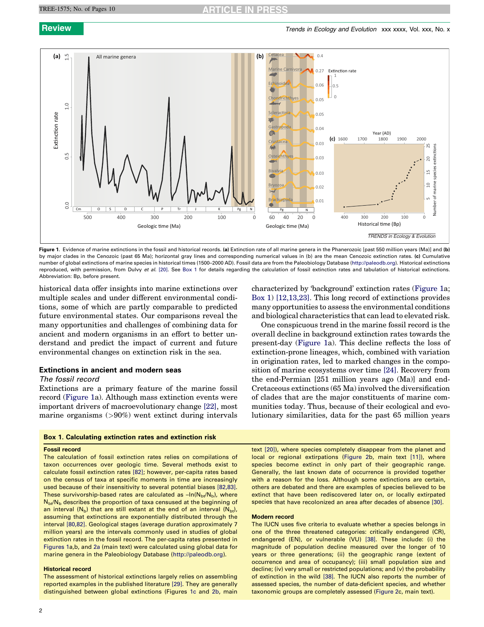### <span id="page-1-0"></span>TREE-1575; No. of Pages 10



Figure 1. Evidence of marine extinctions in the fossil and historical records. (a) Extinction rate of all marine genera in the Phanerozoic [past 550 million years (Ma)] and (b) by major clades in the Cenozoic (past 65 Ma); horizontal gray lines and corresponding numerical values in (b) are the mean Cenozoic extinction rates. (c) Cumulative number of global extinctions of marine species in historical times (1500–2000 AD). Fossil data are from the Paleobiology Database ([http://paleodb.org](http://paleodb.org/)). Historical extinctions reproduced, with permission, from Dulvy et al. [\[20\]](#page-8-0). See Box 1 for details regarding the calculation of fossil extinction rates and tabulation of historical extinctions. Abbreviation: Bp, before present.

historical data offer insights into marine extinctions over multiple scales and under different environmental conditions, some of which are partly comparable to predicted future environmental states. Our comparisons reveal the many opportunities and challenges of combining data for ancient and modern organisms in an effort to better understand and predict the impact of current and future environmental changes on extinction risk in the sea.

# Extinctions in ancient and modern seas

# The fossil record

Extinctions are a primary feature of the marine fossil record (Figure 1a). Although mass extinction events were important drivers of macroevolutionary change [\[22\]](#page-8-0), most marine organisms (>90%) went extinct during intervals

### Box 1. Calculating extinction rates and extinction risk

### Fossil record

The calculation of fossil extinction rates relies on compilations of taxon occurrences over geologic time. Several methods exist to calculate fossil extinction rates [\[82\]](#page-9-0); however, per-capita rates based on the census of taxa at specific moments in time are increasingly used because of their insensitivity to several potential biases [\[82,83\].](#page-9-0) These survivorship-based rates are calculated as  $-ln(N_{bt}/N_b)$ , where  $N_{\text{bt}}/N_{\text{b}}$  describes the proportion of taxa censused at the beginning of an interval ( $N_b$ ) that are still extant at the end of an interval ( $N_{bt}$ ), assuming that extinctions are exponentially distributed through the interval [\[80,82\].](#page-9-0) Geological stages (average duration approximately 7 million years) are the intervals commonly used in studies of global extinction rates in the fossil record. The per-capita rates presented in Figures 1a,b, and [2a](#page-2-0) (main text) were calculated using global data for marine genera in the Paleobiology Database ([http://paleodb.org](http://paleodb.org/)).

### Historical record

2

The assessment of historical extinctions largely relies on assembling reported examples in the published literature [\[29\].](#page-8-0) They are generally distinguished between global extinctions (Figures 1c and [2b](#page-2-0), main

characterized by 'background' extinction rates (Figure 1a; Box 1) [\[12,13,23\].](#page-7-0) This long record of extinctions provides many opportunities to assess the environmental conditions and biological characteristics that can lead to elevated risk.

One conspicuous trend in the marine fossil record is the overall decline in background extinction rates towards the present-day (Figure 1a). This decline reflects the loss of extinction-prone lineages, which, combined with variation in origination rates, led to marked changes in the composition of marine ecosystems over time [\[24\].](#page-8-0) Recovery from the end-Permian [251 million years ago (Ma)] and end-Cretaceous extinctions (65 Ma) involved the diversification of clades that are the major constituents of marine communities today. Thus, because of their ecological and evolutionary similarities, data for the past 65 million years

text [\[20\]](#page-8-0)), where species completely disappear from the planet and local or regional extirpations ([Figure](#page-2-0) 2b, main text [\[11\]\)](#page-7-0), where species become extinct in only part of their geographic range. Generally, the last known date of occurrence is provided together with a reason for the loss. Although some extinctions are certain, others are debated and there are examples of species believed to be extinct that have been rediscovered later on, or locally extirpated species that have recolonized an area after decades of absence [\[30\].](#page-8-0)

### Modern record

The IUCN uses five criteria to evaluate whether a species belongs in one of the three threatened categories: critically endangered (CR), endangered (EN), or vulnerable (VU) [\[38\]](#page-8-0). These include: (i) the magnitude of population decline measured over the longer of 10 years or three generations; (ii) the geographic range (extent of occurrence and area of occupancy); (iii) small population size and decline; (iv) very small or restricted populations; and (v) the probability of extinction in the wild [\[38\]](#page-8-0). The IUCN also reports the number of assessed species, the number of data-deficient species, and whether taxonomic groups are completely assessed ([Figure](#page-2-0) 2c, main text).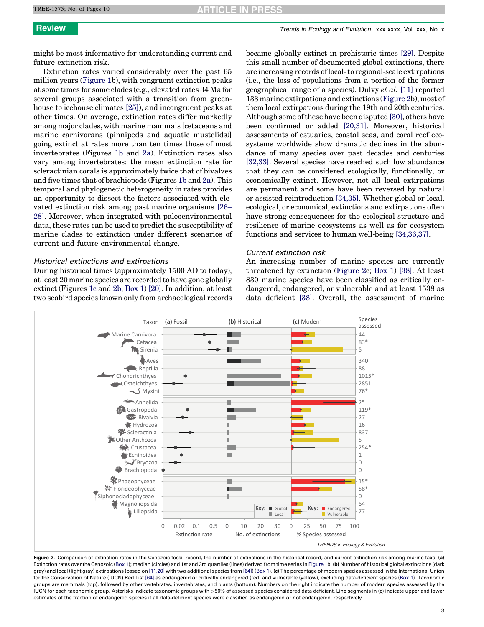<span id="page-2-0"></span>might be most informative for understanding current and future extinction risk.

Extinction rates varied considerably over the past 65 million years ([Figure](#page-1-0) 1b), with congruent extinction peaks at some times for some clades (e.g., elevated rates 34 Ma for several groups associated with a transition from greenhouse to icehouse climates [\[25\]\)](#page-8-0), and incongruent peaks at other times. On average, extinction rates differ markedly among major clades, with marine mammals [cetaceans and marine carnivorans (pinnipeds and aquatic mustelids)] going extinct at rates more than ten times those of most invertebrates (Figures [1b](#page-1-0) and 2a). Extinction rates also vary among invertebrates: the mean extinction rate for scleractinian corals is approximately twice that of bivalves and five times that of brachiopods (Figures [1b](#page-1-0) and 2a). This temporal and phylogenetic heterogeneity in rates provides an opportunity to dissect the factors associated with elevated extinction risk among past marine organisms [\[26–](#page-8-0) [28\]](#page-8-0). Moreover, when integrated with paleoenvironmental data, these rates can be used to predict the susceptibility of marine clades to extinction under different scenarios of current and future environmental change.

# Historical extinctions and extirpations

During historical times (approximately 1500 AD to today), atleast 20 marine species are recorded to have gone globally extinct (Figures [1c](#page-1-0) and 2b; [Box](#page-1-0) 1) [\[20\]](#page-8-0). In addition, at least two seabird species known only from archaeological records became globally extinct in prehistoric times [\[29\].](#page-8-0) Despite this small number of documented global extinctions, there are increasing records of local-to regional-scale extirpations (i.e., the loss of populations from a portion of the former geographical range of a species). Dulvy et al. [\[11\]](#page-7-0) reported 133 marine extirpations and extinctions (Figure 2b), most of them local extirpations during the 19th and 20th centuries. Although some ofthese have been disputed [\[30\]](#page-8-0), others have been confirmed or added [\[20,31\].](#page-8-0) Moreover, historical assessments of estuaries, coastal seas, and coral reef ecosystems worldwide show dramatic declines in the abundance of many species over past decades and centuries [\[32,33\].](#page-8-0) Several species have reached such low abundance that they can be considered ecologically, functionally, or economically extinct. However, not all local extirpations are permanent and some have been reversed by natural or assisted reintroduction [\[34,35\]](#page-8-0). Whether global or local, ecological, or economical, extinctions and extirpations often have strong consequences for the ecological structure and resilience of marine ecosystems as well as for ecosystem functions and services to human well-being [\[34,36,37\].](#page-8-0)

# Current extinction risk

An increasing number of marine species are currently threatened by extinction (Figure 2c; [Box](#page-1-0) 1) [\[38\].](#page-8-0) At least 830 marine species have been classified as critically endangered, endangered, or vulnerable and at least 1538 as data deficient [\[38\]](#page-8-0). Overall, the assessment of marine



Figure 2. Comparison of extinction rates in the Cenozoic fossil record, the number of extinctions in the historical record, and current extinction risk among marine taxa. (a) Extinction rates over the Cenozoic [\(Box](#page-1-0) 1); median (circles) and 1st and 3rd quartiles (lines) derived from time series in [Figure](#page-1-0) 1b. (b) Number of historical global extinctions (dark gray) and local (light gray) extirpations (based on [\[11,20\]](#page-7-0) with two additional species from [\[64\]\)](#page-8-0) [\(Box](#page-1-0) 1). (c) The percentage of modern species assessed in the International Union for the Conservation of Nature (IUCN) Red List [\[64\]](#page-8-0) as endangered or critically endangered (red) and vulnerable (yellow), excluding data-deficient species [\(Box](#page-1-0) 1). Taxonomic groups are mammals (top), followed by other vertebrates, invertebrates, and plants (bottom). Numbers on the right indicate the number of modern species assessed by the IUCN for each taxonomic group. Asterisks indicate taxonomic groups with >50% of assessed species considered data deficient. Line segments in (c) indicate upper and lower estimates of the fraction of endangered species if all data-deficient species were classified as endangered or not endangered, respectively.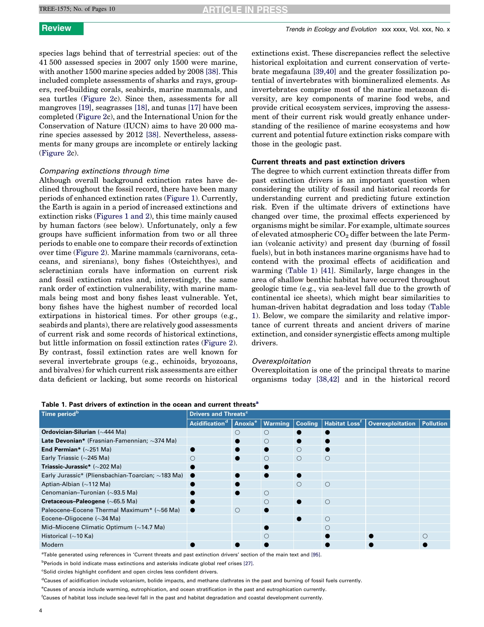<span id="page-3-0"></span>species lags behind that of terrestrial species: out of the 41 500 assessed species in 2007 only 1500 were marine, with another 1500 marine species added by 2008 [\[38\].](#page-8-0) This included complete assessments of sharks and rays, groupers, reef-building corals, seabirds, marine mammals, and sea turtles ([Figure](#page-2-0) 2c). Since then, assessments for all mangroves [\[19\],](#page-8-0) seagrasses [\[18\],](#page-8-0) and tunas [\[17\]](#page-8-0) have been completed [\(Figure](#page-2-0) 2c), and the International Union for the Conservation of Nature (IUCN) aims to have 20 000 marine species assessed by 2012 [\[38\]](#page-8-0). Nevertheless, assessments for many groups are incomplete or entirely lacking ([Figure](#page-2-0) 2c).

# Comparing extinctions through time

Although overall background extinction rates have declined throughout the fossil record, there have been many periods of enhanced extinction rates ([Figure](#page-1-0) 1). Currently, the Earth is again in a period of increased extinctions and extinction risks ([Figures](#page-1-0) 1 and 2), this time mainly caused by human factors (see below). Unfortunately, only a few groups have sufficient information from two or all three periods to enable one to compare their records of extinction over time [\(Figure](#page-2-0) 2). Marine mammals (carnivorans, cetaceans, and sirenians), bony fishes (Osteichthyes), and scleractinian corals have information on current risk and fossil extinction rates and, interestingly, the same rank order of extinction vulnerability, with marine mammals being most and bony fishes least vulnerable. Yet, bony fishes have the highest number of recorded local extirpations in historical times. For other groups (e.g., seabirds and plants), there are relatively good assessments of current risk and some records of historical extinctions, but little information on fossil extinction rates ([Figure](#page-2-0) 2). By contrast, fossil extinction rates are well known for several invertebrate groups (e.g., echinoids, bryozoans, and bivalves) for which current risk assessments are either data deficient or lacking, but some records on historical extinctions exist. These discrepancies reflect the selective historical exploitation and current conservation of vertebrate megafauna [\[39,40\]](#page-8-0) and the greater fossilization potential of invertebrates with biomineralized elements. As invertebrates comprise most of the marine metazoan diversity, are key components of marine food webs, and provide critical ecosystem services, improving the assessment of their current risk would greatly enhance understanding of the resilience of marine ecosystems and how current and potential future extinction risks compare with those in the geologic past.

# Current threats and past extinction drivers

The degree to which current extinction threats differ from past extinction drivers is an important question when considering the utility of fossil and historical records for understanding current and predicting future extinction risk. Even if the ultimate drivers of extinctions have changed over time, the proximal effects experienced by organisms might be similar. For example, ultimate sources of elevated atmospheric  $CO<sub>2</sub>$  differ between the late Permian (volcanic activity) and present day (burning of fossil fuels), but in both instances marine organisms have had to contend with the proximal effects of acidification and warming (Table 1) [\[41\].](#page-8-0) Similarly, large changes in the area of shallow benthic habitat have occurred throughout geologic time (e.g., via sea-level fall due to the growth of continental ice sheets), which might bear similarities to human-driven habitat degradation and loss today (Table 1). Below, we compare the similarity and relative importance of current threats and ancient drivers of marine extinction, and consider synergistic effects among multiple drivers.

# Overexploitation

Overexploitation is one of the principal threats to marine organisms today [\[38,42\]](#page-8-0) and in the historical record

|  | Table 1. Past drivers of extinction in the ocean and current threats <sup>a</sup> |
|--|-----------------------------------------------------------------------------------|
|--|-----------------------------------------------------------------------------------|

| Time period <sup>b</sup>                              | <b>Drivers and Threats<sup>c</sup></b>         |         |         |         |                                     |                         |                  |  |
|-------------------------------------------------------|------------------------------------------------|---------|---------|---------|-------------------------------------|-------------------------|------------------|--|
|                                                       | Acidification <sup>d</sup> Anoxia <sup>e</sup> |         | Warming |         | Cooling   Habitat Loss <sup>f</sup> | <b>Overexploitation</b> | <b>Pollution</b> |  |
| Ordovician-Silurian (~444 Ma)                         |                                                | O       | О       |         |                                     |                         |                  |  |
| Late Devonian* (Frasnian-Famennian; ~374 Ma)          |                                                |         | О       |         |                                     |                         |                  |  |
| End Permian* $(\sim 251$ Ma)                          |                                                |         |         | O       |                                     |                         |                  |  |
| Early Triassic ( $\sim$ 245 Ma)                       |                                                |         | О       | O       | $\circ$                             |                         |                  |  |
| Triassic-Jurassic* $(\sim 202$ Ma)                    |                                                |         |         |         |                                     |                         |                  |  |
| Early Jurassic* (Pliensbachian-Toarcian; ~183 Ma)     |                                                |         |         |         |                                     |                         |                  |  |
| Aptian-Albian $(\sim$ 112 Ma)                         |                                                |         |         | $\circ$ | $\circ$                             |                         |                  |  |
| Cenomanian-Turonian (~93.5 Ma)                        |                                                |         | О       |         |                                     |                         |                  |  |
| <b>Cretaceous-Paleogene</b> ( $\sim$ 65.5 Ma)         |                                                |         |         |         | $\circ$                             |                         |                  |  |
| Paleocene-Eocene Thermal Maximum* (~56 Ma)            |                                                | $\circ$ |         |         |                                     |                         |                  |  |
| Eocene-Oligocene $(\sim]34$ Ma)                       |                                                |         |         |         | $\circ$                             |                         |                  |  |
| Mid-Miocene Climatic Optimum $(\sim 14.7 \text{ Ma})$ |                                                |         |         |         | ∩                                   |                         |                  |  |
| Historical ( $\sim$ 10 Ka)                            |                                                |         |         |         |                                     |                         |                  |  |
| Modern                                                |                                                |         |         |         |                                     |                         |                  |  |

a Table generated using references in 'Current threats and past extinction drivers' section of the main text and [\[95\]](#page-9-0).

<sup>b</sup>Periods in bold indicate mass extinctions and asterisks indicate global reef crises [\[27\].](#page-8-0)

<sup>c</sup>Solid circles highlight confident and open circles less confident drivers.

<sup>d</sup>Causes of acidification include volcanism, bolide impacts, and methane clathrates in the past and burning of fossil fuels currently.

e Causes of anoxia include warming, eutrophication, and ocean stratification in the past and eutrophication currently.

f Causes of habitat loss include sea-level fall in the past and habitat degradation and coastal development currently.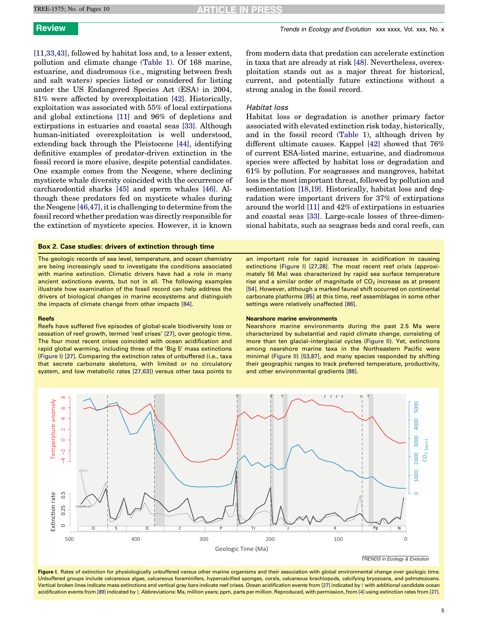<span id="page-4-0"></span>[\[11,33,43\]](#page-7-0), followed by habitat loss and, to a lesser extent, pollution and climate change ([Table](#page-3-0) 1). Of 168 marine, estuarine, and diadromous (i.e., migrating between fresh and salt waters) species listed or considered for listing under the US Endangered Species Act (ESA) in 2004, 81% were affected by overexploitation [\[42\]](#page-8-0). Historically, exploitation was associated with 55% of local extirpations and global extinctions [\[11\]](#page-7-0) and 96% of depletions and extirpations in estuaries and coastal seas [\[33\]](#page-8-0). Although human-initiated overexploitation is well understood, extending back through the Pleistocene [\[44\],](#page-8-0) identifying definitive examples of predator-driven extinction in the fossil record is more elusive, despite potential candidates. One example comes from the Neogene, where declining mysticete whale diversity coincided with the occurrence of carcharodontid sharks [\[45\]](#page-8-0) and sperm whales [\[46\]](#page-8-0). Although these predators fed on mysticete whales during the Neogene [\[46,47\]](#page-8-0), it is challenging to determine from the fossil record whether predation was directly responsible for the extinction of mysticete species. However, it is known

# Box 2. Case studies: drivers of extinction through time

The geologic records of sea level, temperature, and ocean chemistry are being increasingly used to investigate the conditions associated with marine extinction. Climatic drivers have had a role in many ancient extinctions events, but not in all. The following examples illustrate how examination of the fossil record can help address the drivers of biological changes in marine ecosystems and distinguish the impacts of climate change from other impacts [\[84\].](#page-9-0)

### Reefs

Reefs have suffered five episodes of global-scale biodiversity loss or cessation of reef growth, termed 'reef crises' [\[27\]](#page-8-0), over geologic time. The four most recent crises coincided with ocean acidification and rapid global warming, including three of the 'Big 5' mass extinctions (Figure I) [\[27\]](#page-8-0). Comparing the extinction rates of unbuffered (i.e., taxa that secrete carbonate skeletons, with limited or no circulatory system, and low metabolic rates [\[27,63\]](#page-8-0)) versus other taxa points to from modern data that predation can accelerate extinction in taxa that are already at risk [\[48\]](#page-8-0). Nevertheless, overexploitation stands out as a major threat for historical, current, and potentially future extinctions without a strong analog in the fossil record.

# Habitat loss

Habitat loss or degradation is another primary factor associated with elevated extinction risk today, historically, and in the fossil record [\(Table](#page-3-0) 1), although driven by different ultimate causes. Kappel [\[42\]](#page-8-0) showed that 76% of current ESA-listed marine, estuarine, and diadromous species were affected by habitat loss or degradation and 61% by pollution. For seagrasses and mangroves, habitat loss is the most important threat, followed by pollution and sedimentation [\[18,19\].](#page-8-0) Historically, habitat loss and degradation were important drivers for 37% of extirpations around the world [\[11\]](#page-7-0) and 42% of extirpations in estuaries and coastal seas [\[33\]](#page-8-0). Large-scale losses of three-dimensional habitats, such as seagrass beds and coral reefs, can

an important role for rapid increases in acidification in causing extinctions (Figure I) [\[27,28\].](#page-8-0) The most recent reef crisis (approximately 56 Ma) was characterized by rapid sea surface temperature rise and a similar order of magnitude of  $CO<sub>2</sub>$  increase as at present [\[54\].](#page-8-0) However, although a marked faunal shift occurred on continental carbonate platforms [\[85\]](#page-9-0) at this time, reef assemblages in some other settings were relatively unaffected [\[86\].](#page-9-0)

### Nearshore marine environments

Nearshore marine environments during the past 2.5 Ma were characterized by substantial and rapid climate change, consisting of more than ten glacial–interglacial cycles [\(Figure](#page-5-0) II). Yet, extinctions among nearshore marine taxa in the Northeastern Pacific were minimal [\(Figure](#page-5-0) II) [\[53,87\],](#page-8-0) and many species responded by shifting their geographic ranges to track preferred temperature, productivity, and other environmental gradients [\[88\].](#page-9-0)



Figure I. Rates of extinction for physiologically unbuffered versus other marine organisms and their association with global environmental change over geologic time. Unbuffered groups include calcareous algae, calcareous foraminifers, hypercalcified sponges, corals, calcareous brachiopods, calcifying bryozoans, and pelmatozoans. Vertical broken lines indicate mass extinctions and vertical gray bars indicate reef crises. Ocean acidification events from [\[27\]](#page-8-0) indicated by  $\dagger$  with additional candidate ocean acidification events from [\[89\]](#page-9-0) indicated by  $\ddagger$ . Abbreviations: Ma, million years; ppm, parts per million. Reproduced, with permission, from [\[4\]](#page-7-0) using extinction rates from [\[27\]](#page-8-0).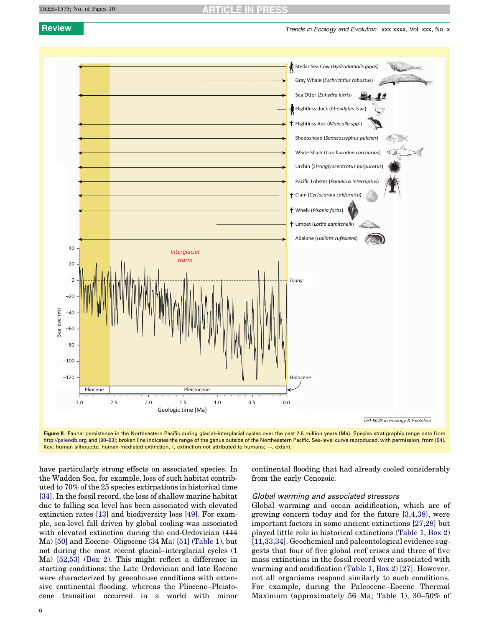<span id="page-5-0"></span>**Review Trends in Ecology and Evolution XXX XXXX, Vol. XXX, No. x** Trends in Ecology and Evolution XXX xxxx, Vol. xxx, No. x



Figure II. Faunal persistence in the Northeastern Pacific during glacial-interglacial cycles over the past 2.5 million years (Ma). Species stratigraphic range data from [http://paleodb.org](http://paleodb.org/) and [90-93]; broken line indicates the range of the genus outside of the Northeastern Pacific. Sea-level curve reproduced, with permission, from [\[94\]](#page-9-0). Key: human silhouette, human-mediated extinction,  $\dagger$ , extinction not attributed to humans;  $\rightarrow$ , extant.

have particularly strong effects on associated species. In the Wadden Sea, for example, loss of such habitat contributed to 70% of the 25 species extirpations in historical time [\[34\]](#page-8-0). In the fossil record, the loss of shallow marine habitat due to falling sea level has been associated with elevated extinction rates [\[13\]](#page-7-0) and biodiversity loss [\[49\]](#page-8-0). For example, sea-level fall driven by global cooling was associated with elevated extinction during the end-Ordovician (444 Ma) [\[50\]](#page-8-0) and Eocene–Oligocene (34 Ma) [\[51\]](#page-8-0) ([Table](#page-3-0) 1), but not during the most recent glacial–interglacial cycles (1 Ma) [\[52,53\]](#page-8-0) [\(Box](#page-4-0) 2). This might reflect a difference in starting conditions: the Late Ordovician and late Eocene were characterized by greenhouse conditions with extensive continental flooding, whereas the Pliocene–Pleistocene transition occurred in a world with minor continental flooding that had already cooled considerably from the early Cenozoic.

# Global warming and associated stressors

Global warming and ocean acidification, which are of growing concern today and for the future [\[3,4,38\]](#page-7-0), were important factors in some ancient extinctions [\[27,28\]](#page-8-0) but played little role in historical extinctions ([Table](#page-3-0) 1, [Box](#page-4-0) 2) [\[11,33,34\]](#page-7-0). Geochemical and paleontological evidence suggests that four of five global reef crises and three of five mass extinctions in the fossil record were associated with warming and acidification ([Table](#page-3-0) 1, [Box](#page-4-0) 2) [\[27\]](#page-8-0). However, not all organisms respond similarly to such conditions. For example, during the Paleocene–Eocene Thermal Maximum (approximately 56 Ma; [Table](#page-3-0) 1), 30–50% of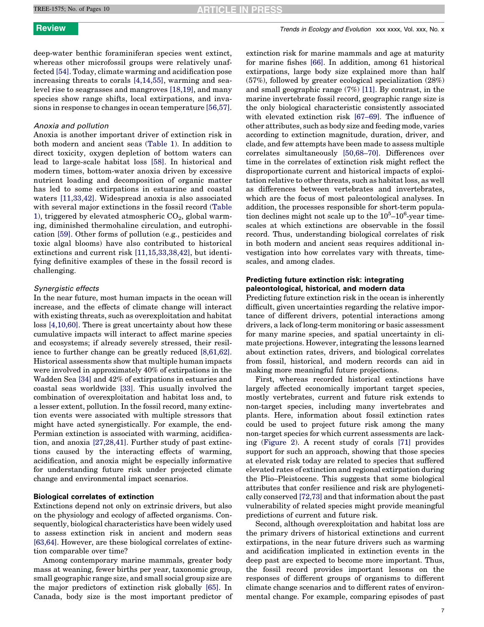# **Review Trends in Ecology and Evolution XXX XXXX, Vol. XXX, No. x** Trends in Ecology and Evolution XXX XXXX, Vol. XXX, No. x

deep-water benthic foraminiferan species went extinct, whereas other microfossil groups were relatively unaffected [\[54\].](#page-8-0) Today, climate warming and acidification pose increasing threats to corals [\[4,14,55\]](#page-7-0), warming and sealevel rise to seagrasses and mangroves [\[18,19\],](#page-8-0) and many species show range shifts, local extirpations, and invasions in response to changes in ocean temperature [\[56,57\]](#page-8-0).

# Anoxia and pollution

Anoxia is another important driver of extinction risk in both modern and ancient seas ([Table](#page-3-0) 1). In addition to direct toxicity, oxygen depletion of bottom waters can lead to large-scale habitat loss [\[58\]](#page-8-0). In historical and modern times, bottom-water anoxia driven by excessive nutrient loading and decomposition of organic matter has led to some extirpations in estuarine and coastal waters [\[11,33,42\].](#page-7-0) Widespread anoxia is also associated with several major extinctions in the fossil record ([Table](#page-3-0) [1\)](#page-3-0), triggered by elevated atmospheric  $CO<sub>2</sub>$ , global warming, diminished thermohaline circulation, and eutrophication [\[59\].](#page-8-0) Other forms of pollution (e.g., pesticides and toxic algal blooms) have also contributed to historical extinctions and current risk [\[11,15,33,38,42\],](#page-7-0) but identifying definitive examples of these in the fossil record is challenging.

# Synergistic effects

In the near future, most human impacts in the ocean will increase, and the effects of climate change will interact with existing threats, such as overexploitation and habitat loss [\[4,10,60\]](#page-7-0). There is great uncertainty about how these cumulative impacts will interact to affect marine species and ecosystems; if already severely stressed, their resilience to further change can be greatly reduced [\[8,61,62\]](#page-7-0). Historical assessments show that multiple human impacts were involved in approximately 40% of extirpations in the Wadden Sea [\[34\]](#page-8-0) and 42% of extirpations in estuaries and coastal seas worldwide [\[33\]](#page-8-0). This usually involved the combination of overexploitation and habitat loss and, to a lesser extent, pollution. In the fossil record, many extinction events were associated with multiple stressors that might have acted synergistically. For example, the end-Permian extinction is associated with warming, acidification, and anoxia [\[27,28,41\].](#page-8-0) Further study of past extinctions caused by the interacting effects of warming, acidification, and anoxia might be especially informative for understanding future risk under projected climate change and environmental impact scenarios.

# Biological correlates of extinction

Extinctions depend not only on extrinsic drivers, but also on the physiology and ecology of affected organisms. Consequently, biological characteristics have been widely used to assess extinction risk in ancient and modern seas [\[63,64\]](#page-8-0). However, are these biological correlates of extinction comparable over time?

Among contemporary marine mammals, greater body mass at weaning, fewer births per year, taxonomic group, small geographic range size, and small social group size are the major predictors of extinction risk globally [\[65\].](#page-8-0) In Canada, body size is the most important predictor of

extinction risk for marine mammals and age at maturity for marine fishes [\[66\]](#page-8-0). In addition, among 61 historical extirpations, large body size explained more than half (57%), followed by greater ecological specialization (28%) and small geographic range (7%) [\[11\].](#page-7-0) By contrast, in the marine invertebrate fossil record, geographic range size is the only biological characteristic consistently associated with elevated extinction risk [\[67–69\].](#page-8-0) The influence of other attributes, such as body size and feeding mode, varies according to extinction magnitude, duration, driver, and clade, and few attempts have been made to assess multiple correlates simultaneously [\[50,68–70\]](#page-8-0). Differences over time in the correlates of extinction risk might reflect the disproportionate current and historical impacts of exploitation relative to other threats, such as habitat loss, as well as differences between vertebrates and invertebrates, which are the focus of most paleontological analyses. In addition, the processes responsible for short-term population declines might not scale up to the  $10^5$ - $10^6$ -year timescales at which extinctions are observable in the fossil record. Thus, understanding biological correlates of risk in both modern and ancient seas requires additional investigation into how correlates vary with threats, timescales, and among clades.

# Predicting future extinction risk: integrating paleontological, historical, and modern data

Predicting future extinction risk in the ocean is inherently difficult, given uncertainties regarding the relative importance of different drivers, potential interactions among drivers, a lack of long-term monitoring or basic assessment for many marine species, and spatial uncertainty in climate projections. However, integrating the lessons learned about extinction rates, drivers, and biological correlates from fossil, historical, and modern records can aid in making more meaningful future projections.

First, whereas recorded historical extinctions have largely affected economically important target species, mostly vertebrates, current and future risk extends to non-target species, including many invertebrates and plants. Here, information about fossil extinction rates could be used to project future risk among the many non-target species for which current assessments are lacking ([Figure](#page-2-0) 2). A recent study of corals [\[71\]](#page-8-0) provides support for such an approach, showing that those species at elevated risk today are related to species that suffered elevated rates of extinction and regional extirpation during the Plio–Pleistocene. This suggests that some biological attributes that confer resilience and risk are phylogenetically conserved [\[72,73\]](#page-8-0) and that information about the past vulnerability of related species might provide meaningful predictions of current and future risk.

Second, although overexploitation and habitat loss are the primary drivers of historical extinctions and current extirpations, in the near future drivers such as warming and acidification implicated in extinction events in the deep past are expected to become more important. Thus, the fossil record provides important lessons on the responses of different groups of organisms to different climate change scenarios and to different rates of environmental change. For example, comparing episodes of past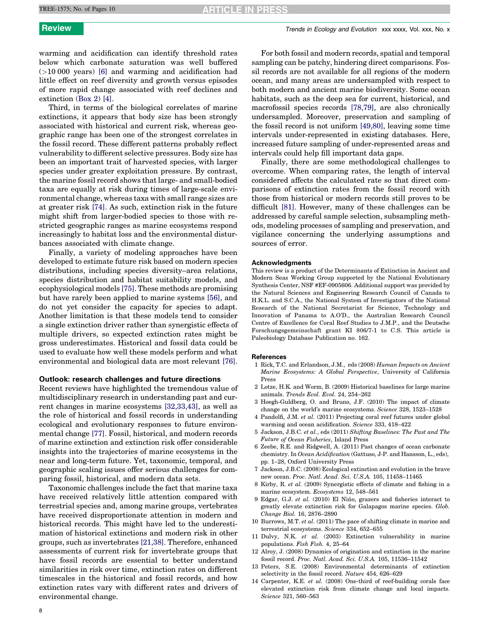# **ARTICLE IN PRESS**

# <span id="page-7-0"></span>**Review Trends in Ecology and Evolution xxx xxxx**, Vol. xxx, No. x

warming and acidification can identify threshold rates below which carbonate saturation was well buffered (>10 000 years) [6] and warming and acidification had little effect on reef diversity and growth versus episodes of more rapid change associated with reef declines and extinction [\(Box](#page-4-0) 2) [4].

Third, in terms of the biological correlates of marine extinctions, it appears that body size has been strongly associated with historical and current risk, whereas geographic range has been one of the strongest correlates in the fossil record. These different patterns probably reflect vulnerability to different selective pressures. Body size has been an important trait of harvested species, with larger species under greater exploitation pressure. By contrast, the marine fossil record shows that large- and small-bodied taxa are equally at risk during times of large-scale environmental change, whereas taxa with small range sizes are at greater risk [\[74\].](#page-8-0) As such, extinction risk in the future might shift from larger-bodied species to those with restricted geographic ranges as marine ecosystems respond increasingly to habitat loss and the environmental disturbances associated with climate change.

Finally, a variety of modeling approaches have been developed to estimate future risk based on modern species distributions, including species diversity–area relations, species distribution and habitat suitability models, and ecophysiological models [\[75\]](#page-8-0). These methods are promising but have rarely been applied to marine systems [\[56\],](#page-8-0) and do not yet consider the capacity for species to adapt. Another limitation is that these models tend to consider a single extinction driver rather than synergistic effects of multiple drivers, so expected extinction rates might be gross underestimates. Historical and fossil data could be used to evaluate how well these models perform and what environmental and biological data are most relevant [\[76\]](#page-8-0).

### Outlook: research challenges and future directions

Recent reviews have highlighted the tremendous value of multidisciplinary research in understanding past and current changes in marine ecosystems [\[32,33,43\],](#page-8-0) as well as the role of historical and fossil records in understanding ecological and evolutionary responses to future environmental change [\[77\].](#page-8-0) Fossil, historical, and modern records of marine extinction and extinction risk offer considerable insights into the trajectories of marine ecosystems in the near and long-term future. Yet, taxonomic, temporal, and geographic scaling issues offer serious challenges for comparing fossil, historical, and modern data sets.

Taxonomic challenges include the fact that marine taxa have received relatively little attention compared with terrestrial species and, among marine groups, vertebrates have received disproportionate attention in modern and historical records. This might have led to the underestimation of historical extinctions and modern risk in other groups, such as invertebrates [\[21,38\]](#page-8-0). Therefore, enhanced assessments of current risk for invertebrate groups that have fossil records are essential to better understand similarities in risk over time, extinction rates on different timescales in the historical and fossil records, and how extinction rates vary with different rates and drivers of environmental change.

For both fossil and modern records, spatial and temporal sampling can be patchy, hindering direct comparisons. Fossil records are not available for all regions of the modern ocean, and many areas are undersampled with respect to both modern and ancient marine biodiversity. Some ocean habitats, such as the deep sea for current, historical, and macrofossil species records [\[78,79\]](#page-9-0), are also chronically undersampled. Moreover, preservation and sampling of the fossil record is not uniform [\[49,80\],](#page-8-0) leaving some time intervals under-represented in existing databases. Here, increased future sampling of under-represented areas and intervals could help fill important data gaps.

Finally, there are some methodological challenges to overcome. When comparing rates, the length of interval considered affects the calculated rate so that direct comparisons of extinction rates from the fossil record with those from historical or modern records still proves to be difficult [\[81\].](#page-9-0) However, many of these challenges can be addressed by careful sample selection, subsampling methods, modeling processes of sampling and preservation, and vigilance concerning the underlying assumptions and sources of error.

### Acknowledgments

This review is a product of the Determinants of Extinction in Ancient and Modern Seas Working Group supported by the National Evolutionary Synthesis Center, NSF #EF-0905606. Additional support was provided by the Natural Sciences and Engineering Research Council of Canada to H.K.L. and S.C.A., the National System of Investigators of the National Research of the National Secretariat for Science, Technology and Innovation of Panama to A.O'D., the Australian Research Council Centre of Excellence for Coral Reef Studies to J.M.P., and the Deutsche Forschungsgemeinschaft grant KI 806/7-1 to C.S. This article is Paleobiology Database Publication no. 162.

### References

- 1 Rick, T.C. and Erlandson, J.M., eds (2008) Human Impacts on Ancient Marine Ecosystems: A Global Perspective, University of California Press
- 2 Lotze, H.K. and Worm, B. (2009) Historical baselines for large marine animals. Trends Ecol. Evol. 24, 254–262
- 3 Hoegh-Guldberg, O. and Bruno, J.F. (2010) The impact of climate change on the world's marine ecosystems. Science 328, 1523–1528
- 4 Pandolfi, J.M. et al. (2011) Projecting coral reef futures under global warming and ocean acidification. Science 333, 418–422
- 5 Jackson, J.B.C. et al., eds (2011) Shifting Baselines: The Past and The Future of Ocean Fisheries, Island Press
- 6 Zeebe, R.E. and Ridgwell, A. (2011) Past changes of ocean carbonate chemistry. In Ocean Acidification (Gattuso, J-P. and Hansson, L., eds), pp. 1–28, Oxford University Press
- 7 Jackson, J.B.C. (2008) Ecological extinction and evolution in the brave new ocean. Proc. Natl. Acad. Sci. U.S.A. 105, 11458–11465
- 8 Kirby, R. et al. (2009) Synergistic effects of climate and fishing in a marine ecosystem. Ecosystems 12, 548–561
- 9 Edgar, G.J. et al. (2010) El Niño, grazers and fisheries interact to greatly elevate extinction risk for Galapagos marine species. Glob. Change Biol. 16, 2876–2890
- 10 Burrows, M.T. et al. (2011) The pace of shifting climate in marine and terrestrial ecosystems. Science 334, 652–655
- 11 Dulvy, N.K. et al. (2003) Extinction vulnerability in marine populations. Fish Fish. 4, 25–64
- 12 Alroy, J. (2008) Dynamics of origination and extinction in the marine fossil record. Proc. Natl. Acad. Sci. U.S.A. 105, 11536–11542
- 13 Peters, S.E. (2008) Environmental determinants of extinction selectivity in the fossil record. Nature 454, 626–629
- 14 Carpenter, K.E. et al. (2008) One-third of reef-building corals face elevated extinction risk from climate change and local impacts. Science 321, 560–563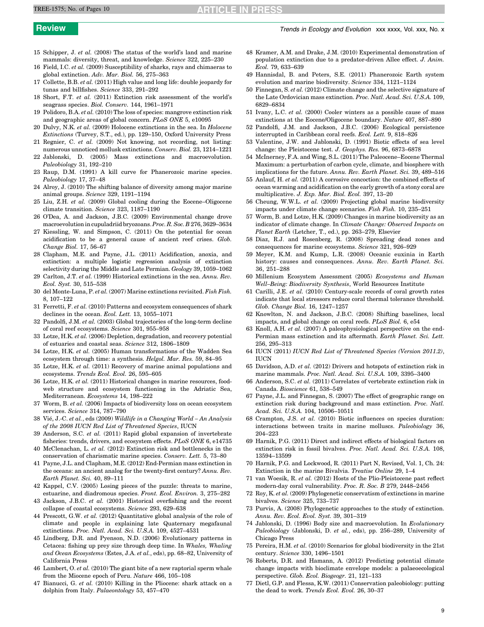# **ARTICLE IN PRESS**

- <span id="page-8-0"></span>15 Schipper, J. et al. (2008) The status of the world's land and marine mammals: diversity, threat, and knowledge. Science 322, 225–230
- 16 Field, I.C. et al. (2009) Susceptibility of sharks, rays and chimaeras to global extinction. Adv. Mar. Biol. 56, 275–363
- 17 Collette, B.B. et al. (2011) High value and long life: double jeopardy for tunas and billfishes. Science 333, 291–292
- 18 Short, F.T. et al. (2011) Extinction risk assessment of the world's seagrass species. Biol. Conserv. 144, 1961–1971
- 19 Polidoro, B.A. et al. (2010) The loss of species: mangrove extinction risk and geographic areas of global concern. PLoS ONE 5, e10095
- 20 Dulvy, N.K. et al. (2009) Holocene extinctions in the sea. In Holocene Extinctions (Turvey, S.T., ed.), pp. 129–150, Oxford University Press
- 21 Regnier, C. et al. (2009) Not knowing, not recording, not listing: numerous unnoticed mollusk extinctions. Conserv. Biol. 23, 1214–1221
- 22 Jablonski, D. (2005) Mass extinctions and macroevolution. Paleobiology 31, 192–210
- 23 Raup, D.M. (1991) A kill curve for Phanerozoic marine species. Paleobiology 17, 37–48
- 24 Alroy, J. (2010) The shifting balance of diversity among major marine animal groups. Science 329, 1191–1194
- 25 Liu, Z.H. et al. (2009) Global cooling during the Eocene–Oligocene climate transition. Science 323, 1187–1190
- 26 O'Dea, A. and Jackson, J.B.C. (2009) Environmental change drove macroevolutionin cupuladriid bryozoans.Proc.R.Soc. B 276, 3629–3634
- 27 Kiessling, W. and Simpson, C. (2011) On the potential for ocean acidification to be a general cause of ancient reef crises. Glob. Change Biol. 17, 56–67
- 28 Clapham, M.E. and Payne, J.L. (2011) Acidification, anoxia, and extinction: a multiple logistic regression analysis of extinction selectivity during the Middle and Late Permian. Geology 39, 1059–1062
- 29 Carlton, J.T. et al. (1999) Historical extinctions in the sea. Annu. Rev. Ecol. Syst. 30, 515–538
- 30 del Monte-Luna, P. et al. (2007) Marine extinctions revisited. Fish Fish. 8, 107–122
- 31 Ferretti, F. et al. (2010) Patterns and ecosystem consequences of shark declines in the ocean. Ecol. Lett. 13, 1055–1071
- 32 Pandolfi, J.M. et al. (2003) Global trajectories of the long-term decline of coral reef ecosystems. Science 301, 955–958
- 33 Lotze, H.K. et al. (2006) Depletion, degradation, and recovery potential of estuaries and coastal seas. Science 312, 1806–1809
- 34 Lotze, H.K. et al. (2005) Human transformations of the Wadden Sea ecosystem through time: a synthesis. Helgol. Mar. Res. 59, 84–95
- 35 Lotze, H.K. et al. (2011) Recovery of marine animal populations and ecosystems. Trends Ecol. Evol. 26, 595–605
- 36 Lotze, H.K. et al. (2011) Historical changes in marine resources, foodweb structure and ecosystem functioning in the Adriatic Sea, Mediterranean. Ecosystems 14, 198–222
- 37 Worm, B. et al. (2006) Impacts of biodiversity loss on ocean ecosystem services. Science 314, 787–790
- 38 Vié, J.-C. et al., eds (2009) Wildlife in a Changing World An Analysis of the 2008 IUCN Red List of Threatened Species, IUCN
- 39 Anderson, S.C. et al. (2011) Rapid global expansion of invertebrate fisheries: trends, drivers, and ecosystem effects. PLoS ONE 6, e14735
- 40 McClenachan, L. et al. (2012) Extinction risk and bottlenecks in the conservation of charismatic marine species. Conserv. Lett. 5, 73–80
- 41 Payne, J.L. and Clapham, M.E. (2012) End-Permian mass extinction in the oceans: an ancient analog for the twenty-first century? Annu. Rev. Earth Planet. Sci. 40, 89–111
- 42 Kappel, C.V. (2005) Losing pieces of the puzzle: threats to marine, estuarine, and diadromous species. Front. Ecol. Environ. 3, 275–282
- 43 Jackson, J.B.C. et al. (2001) Historical overfishing and the recent collapse of coastal ecosystems. Science 293, 629–638
- 44 Prescott, G.W. et al. (2012) Quantitative global analysis of the role of climate and people in explaining late Quaternary megafaunal extinctions. Proc. Natl. Acad. Sci. U.S.A. 109, 4527–4531
- 45 Lindberg, D.R. and Pyenson, N.D. (2006) Evolutionary patterns in Cetacea: fishing up prey size through deep time. In Whales, Whaling and Ocean Ecosystems (Estes, J.A. et al., eds), pp. 68–82, University of California Press
- 46 Lambert, O. et al. (2010) The giant bite of a new raptorial sperm whale from the Miocene epoch of Peru. Nature 466, 105–108
- 47 Bianucci, G. et al. (2010) Killing in the Pliocene: shark attack on a dolphin from Italy. Palaeontology 53, 457–470
- 48 Kramer, A.M. and Drake, J.M. (2010) Experimental demonstration of population extinction due to a predator-driven Allee effect. J. Anim. Ecol. 79, 633–639
- 49 Hannisdal, B. and Peters, S.E. (2011) Phanerozoic Earth system evolution and marine biodiversity. Science 334, 1121–1124
- 50 Finnegan, S. et al. (2012) Climate change and the selective signature of the Late Ordovician mass extinction. Proc. Natl. Acad. Sci. U.S.A. 109, 6829–6834
- 51 Ivany, L.C. et al. (2000) Cooler winters as a possible cause of mass extinctions at the Eocene/Oligocene boundary. Nature 407, 887–890
- 52 Pandolfi, J.M. and Jackson, J.B.C. (2006) Ecological persistence interrupted in Caribbean coral reefs. Ecol. Lett. 9, 818–826
- 53 Valentine, J.W. and Jablonski, D. (1991) Biotic effects of sea level change: the Pleistocene test. J. Geophys. Res. 96, 6873–6878
- 54 McInerney, F.A. and Wing, S.L. (2011) The Paleocene–Eocene Thermal Maximum: a perturbation of carbon cycle, climate, and biosphere with implications for the future. Annu. Rev. Earth Planet. Sci. 39, 489–516
- 55 Anlauf, H. et al. (2011) A corrosive concoction: the combined effects of ocean warming and acidification on the early growth of a stony coral are multiplicative. J. Exp. Mar. Biol. Ecol. 397, 13–20
- 56 Cheung, W.W.L. et al. (2009) Projecting global marine biodiversity impacts under climate change scenarios. Fish Fish. 10, 235–251
- 57 Worm, B. and Lotze, H.K. (2009) Changes in marine biodiversity as an indicator of climate change. In Climate Change: Observed Impacts on Planet Earth (Letcher, T., ed.), pp. 263–279, Elsevier
- 58 Diaz, R.J. and Rosenberg, R. (2008) Spreading dead zones and consequences for marine ecosystems. Science 321, 926–929
- Meyer, K.M. and Kump, L.R. (2008) Oceanic euxinia in Earth history: causes and consequences. Annu. Rev. Earth Planet. Sci. 36, 251–288
- 60 Millenium Ecosystem Assessment (2005) Ecosystems and Human Well–Being: Biodiversity Synthesis, World Resources Institute
- 61 Carilli, J.E. et al. (2010) Century-scale records of coral growth rates indicate that local stressors reduce coral thermal tolerance threshold. Glob. Change Biol. 16, 1247–1257
- 62 Knowlton, N. and Jackson, J.B.C. (2008) Shifting baselines, local impacts, and global change on coral reefs. PLoS Biol. 6, e54
- 63 Knoll, A.H. et al. (2007) A paleophysiological perspective on the end-Permian mass extinction and its aftermath. Earth Planet. Sci. Lett. 256, 295–313
- 64 IUCN (2011) IUCN Red List of Threatened Species (Version 2011.2), IUCN
- 65 Davidson, A.D. et al. (2012) Drivers and hotspots of extinction risk in marine mammals. Proc. Natl. Acad. Sci. U.S.A. 109, 3395–3400
- 66 Anderson, S.C. et al. (2011) Correlates of vertebrate extinction risk in Canada. Bioscience 61, 538–549
- 67 Payne, J.L. and Finnegan, S. (2007) The effect of geographic range on extinction risk during background and mass extinction. Proc. Natl. Acad. Sci. U.S.A. 104, 10506–10511
- 68 Crampton, J.S. et al. (2010) Biotic influences on species duration: interactions between traits in marine molluscs. Paleobiology 36, 204–223
- 69 Harnik, P.G. (2011) Direct and indirect effects of biological factors on extinction risk in fossil bivalves. Proc. Natl. Acad. Sci. U.S.A. 108, 13594–13599
- 70 Harnik, P.G. and Lockwood, R. (2011) Part N, Revised, Vol. 1, Ch. 24: Extinction in the marine Bivalvia. Treatise Online 29, 1–4
- 71 van Woesik, R. et al. (2012) Hosts of the Plio-Pleistocene past reflect modern-day coral vulnerability. Proc. R. Soc. B 279, 2448–2456
- 72 Roy, K. et al. (2009) Phylogenetic conservatism of extinctions in marine bivalves. Science 325, 733–737
- 73 Purvis, A. (2008) Phylogenetic approaches to the study of extinction. Annu. Rev. Ecol. Evol. Syst. 39, 301–319
- 74 Jablonski, D. (1996) Body size and macroevolution. In Evolutionary Paleobiology (Jablonski, D. et al., eds), pp. 256–289, University of Chicago Press
- 75 Pereira, H.M. et al. (2010) Scenarios for global biodiversity in the 21st century. Science 330, 1496–1501
- 76 Roberts, D.R. and Hamann, A. (2012) Predicting potential climate change impacts with bioclimate envelope models: a palaeoecological perspective. Glob. Ecol. Biogeogr. 21, 121–133
- 77 Dietl, G.P. and Flessa, K.W. (2011) Conservation paleobiology: putting the dead to work. Trends Ecol. Evol. 26, 30–37